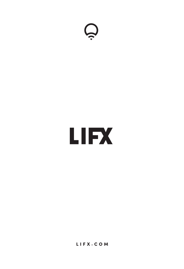

# **LIFX**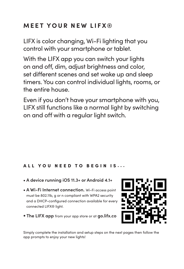# **MEET YOUR NEW LIFX®**

LIFX is color changing, Wi-Fi lighting that you control with your smartphone or tablet.

With the LIFX app you can switch your lights on and off, dim, adjust brightness and color, set different scenes and set wake up and sleep timers. You can control individual lights, rooms, or the entire house.

Even if you don't have your smartphone with you, LIFX still functions like a normal light by switching on and off with a regular light switch.

## ALL YOU NEED TO BEGIN IS...

- **A device running iOS 11.3+ or Android 4.1+**
- **A Wi-Fi Internet connection.** Wi-Fi access point must be 802.11b, g or n compliant with WPA2 security and a DHCP-configured connection available for every connected LIFX® light.
- • **The LIFX app** from your app store or at **go.lifx.co**



Simply complete the installation and setup steps on the next pages then follow the app prompts to enjoy your new lights!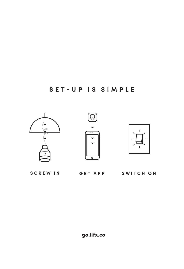# **SET-UP IS SIMPLE**



**SCREW IN SWITCH ON GET APP**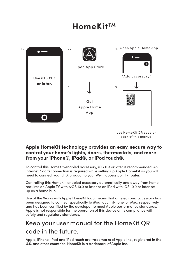# **HomeKit™**



Use HomeKit QR code on back of this manual

### **Apple HomeKit technology provides an easy, secure way to control your home's lights, doors, thermostats, and more from your iPhone®, iPad®, or iPod touch®.**

To control this HomeKit-enabled accessory, iOS 11.3 or later is recommended. An internet / data connection is required while setting up Apple HomeKit as you will need to connect your LIFX product to your Wi-Fi access point / router.

Controlling this HomeKit-enabled accessory automatically and away from home requires an Apple TV with tvOS 10.0 or later or an iPad with iOS 10.0 or later set up as a home hub.

Use of the Works with Apple HomeKit logo means that an electronic accessory has been designed to connect specifically to iPod touch, iPhone, or iPad, respectively, and has been certified by the developer to meet Apple performance standards. Apple is not responsible for the operation of this device or its compliance with safety and regulatory standards.

# Keep your user manual for the HomeKit QR code in the future.

Apple, iPhone, iPad and iPod touch are trademarks of Apple Inc., registered in the U.S. and other countries. HomeKit is a trademark of Apple Inc.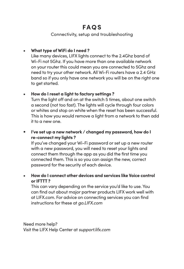## **FAQS**

#### Connectivity, setup and troubleshooting

## **• What type of WiFi do I need ?**

Like many devices, LIFX lights connect to the 2.4Ghz band of Wi-Fi not 5Ghz. If you have more than one available network on your router this could mean you are connected to 5Ghz and need to try your other network. All Wi-Fi routers have a 2.4 GHz band so if you only have one network you will be on the right one to get started.

#### **• How do I reset a light to factory settings ?**

Turn the light off and on at the switch 5 times, about one switch a second (not too fast). The lights will cycle through four colors or whites and stop on white when the reset has been successful. This is how you would remove a light from a network to then add it to a new one.

## • **I've set up a new network / changed my password, how do I re-connect my lights ?**

If you've changed your Wi-Fi password or set up a new router with a new password, you will need to reset your lights and connect them through the app as you did the first time you connected them. This is so you can assign the new, correct password for the security of each device.

## **• How do I connect other devices and services like Voice control or IFTTT ?**

This can vary depending on the service you'd like to use. You can find out about major partner products LIFX work well with at LIFX.com. For advice on connecting services you can find instructions for these at *go.LIFX.com*

Need more help? Visit the LIFX Help Center at *support.lifx.com*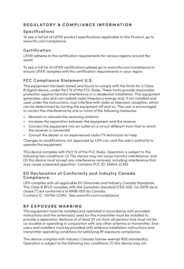#### **REGULATORY & COMPLIANCE INFORMATION**

#### **Specifications**

To see a full list of LIFX® product specifications applicable to this Product, go to www.lifx.com/compliance

#### **Certification**

LIFX® adheres to the certification requirements for various regions around the world.

To see a full list of LIFX® certifications please go to www.lifx.com/compliance to ensure LIFX® complies with the certification requirements in your region.

#### **FCC Compliance Statement U.S.**

This equipment has been tested and found to comply with the limits for a Class B digital device, under Part 15 of the FCC Rules. These limits provide reasonable protection against harmful interference in a residential installation. This equipment generates, uses and can radiate radio frequency energy and, if not installed and used under the instructions, may interfere with radio or television reception, which can be determined by turning the equipment off and on. The user is encouraged to correct the interference by one or more of the following measures:

- Reorient or relocate the receiving antenna
- Increase the separation between the equipment and the receiver
- Connect the equipment into an outlet on a circuit different from that to which the receiver is connected
- Consult the dealer or an experienced radio/TV technician for help

Changes or modifications not approved by LIFX can void the user's authority to operate the equipment.

This device complies with Part 15 of the FCC Rules. Operation is subject to the following two conditions: (1) This device may not cause harmful interference, and (2) this device must accept any interference received, including interference that may cause undesired operation. Contains FCC ID: 2AA53-LCM3

#### **EU Declaration of Conformity and Industry Canada Compliance.**

LIFX complies with all applicable EU Directives and Industry Canada Standards. This Class B RFLD complies with the Canadian standard ICES-005. Ce DEFR de la classe [\*] est conforme à la NMB-005 du Canada.

Contains IC: 11475A-LCM3. See www.lifx.com/compliance

#### **RF EXPOSURE WARNING**

This equipment must be installed and operated in accordance with provided instructions and the antenna(s) used for this transmitter must be installed to provide a separation distance of at least 20 cm from all persons and must not be co-located or operating in conjunction with any other antenna or transmitter. Endusers and installers must be provided with antenna installation instructions and transmitter operating conditions for satisfying RF exposure compliance.

This device complies with Industry Canada license-exempt RSS standard(s). Operation is subject to the following two conditions: (1) this device may not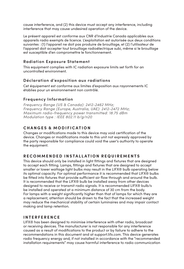cause interference, and (2) this device must accept any interference, including interference that may cause undesired operation of the device.

Le présent appareil est conforme aux CNR d'Industrie Canada applicables aux appareils radio exempts de licence. L'exploitation est autorisée aux deux conditions suivantes : (1) l'appareil ne doit pas produire de brouillage, et (2) l'utilisateur de l'appareil doit accepter tout brouillage radioélectrique subi, même si le brouillage est susceptible d'en compromettre le fonctionnement.

#### **Radiation Exposure Statement**

This equipment complies with IC radiation exposure limits set forth for an uncontrolled environment.

#### **Déclaration d'exposition aux radiations**

Cet équipement est conforme aux limites d'exposition aux rayonnements IC établies pour un environnement non contrôlé.

#### **Frequency Information**

*Frequency Range (US & Canada): 2412-2462 MHz; Frequency Range (Europe, Australia, UAE): 2412-2472 MHz; Maximum radio-frequency power transmitted: 18.75 dBm Modulation type : IEEE 802.11 b/g/n20*

#### **CHANGES & MODIFICATION**

Changes or modifications made to this device may void certification of the device. Changes or modifications made to this unit not expressly approved by the party responsible for compliance could void the user's authority to operate the equipment.

#### **RECOMMENDED INSTALLATION REQUIREMENTS**

This device should only be installed in light fittings and fixtures that are designed to accept each fitting. Lamps, fittings and fixtures that are designed to accept smaller or lower wattage light bulbs may result in the LIFX® bulb operating below its optimal capacity. For optimal performance it is recommended that LIFX® bulbs be fitted into fixtures that provide sufficient air flow through and around the bulb. It is recommended that the LIFX® bulb be installed away from other devices designed to receive or transmit radio signals. It is recommended LIFX® bulb/s be installed and operated at a minimum distance of 30 cm from the body. For lamps with a weight significantly higher than that of lamps for which they are a replacement, attention should be drawn to the fact that the increased weight may reduce the mechanical stability of certain luminaires and may impair contact making and lamp retention.

#### **INTERFERENCE**

LIFX® has been designed to minimise interference with other radio, broadcast or receiving devices. The manufacturer is not responsible for any interference caused as a result of modifications to the product or by failure to adhere to the recommendations in this document and at support.lifx.com. This device generates radio frequency energy and, if not installed in accordance with the "recommended installation requirements" may cause harmful interference to radio communication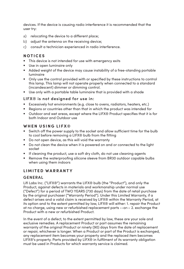devices. If the device is causing radio interference it is recommended that the user try:

- a) relocating the device to a different place;
- b) adjust the antenna on the receiving device;
- c) consult a technician experienced in radio interference.

#### **NOTICES**

- This device is not intended for use with emergency exits
- Use in open luminaire only
- Added weight of the device may cause instability of a free-standing portable luminaire
- Only use the control provided with or specified by these instructions to control this lamp. This lamp will not operate properly when connected to a standard (incandescent) dimmer or dimming control.
- Use only with a portable table luminaire that is provided with a shade

#### **LIFX® is not designed for use in:**

- Excessively hot environments (e.g. close to ovens, radiators, heaters, etc.)
- Regions or countries other than that in which the product was intended for
- Outdoor and wet areas, except where the LIFX® Product specifies that it is for both Indoor and Outdoor use

#### **WHEN USING LIFX®**

- Switch off the power supply to the socket and allow sufficient time for the bulb to cool before removing a LIFX® bulb from the fitting
- Do not open device, as this will void the warranty
- Do not clean the device when it is powered on and or connected to the light socket
- If cleaning the product, use a soft dry cloth, do not use cleaning agents
- Remove the waterproofing silicone sleeve from BR30 outdoor capable bulbs when using them indoors

#### **LIMITED WARRANTY**

#### **GENERAL**

Lifi Labs Inc. ("LIFX®") warrants the LIFX® bulb (the "Product"), and only the Product, against defects in materials and workmanship under normal use ("Defect") for a period of TWO YEARS (730 days) from the date of retail purchase by the original purchaser ("Warranty Period"). Under this Limited Warranty, if a defect arises and a valid claim is received by LIFX® within the Warranty Period, at its option and to the extent permitted by law, LIFX® will either: 1. repair the Product at no charge, using new or refurbished replacement parts --or-- 2. exchange the Product with a new or refurbished Product.

In the event of a defect, to the extent permitted by law, these are your sole and exclusive remedies. A replacement Product or part assumes the remaining warranty of the original Product or ninety (90) days from the date of replacement or repair, whichever is longer. When a Product or part of the Product is exchanged, any replacement item becomes your property and the replaced item becomes LIFX®'s property. Parts provided by LIFX® in fulfilment of its warranty obligation must be used in Products for which warranty service is claimed.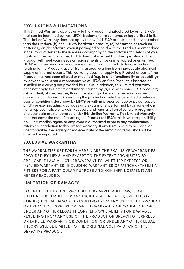#### **EXCLUSIONS & LIMITATIONS**

This Limited Warranty applies only to the Product manufactured by or for LIFX® that can be identified by the "LIFX® trademark, trade name, or logo affixed to it. The Limited Warranty does not apply to any (a) LIFX® products and services other than the Product, (b) non- LIFX® hardware product, (c) consumables (such as batteries), or (d) software, even if packaged or sold with the Product or embedded in the Product. Refer to the licenses accompanying the software for details of your rights with respect to its use. LIFX® does not warrant that the operation of the Product will meet your needs or requirements or be uninterrupted or error free. LIFX® is not responsible for damage arising from failure to follow instructions relating to the Product's use or from failures resulting from inadequate electrical supply or internet access. This warranty does not apply to a Product or part of the Product that has been altered or modified (e.g. to alter functionality or capability) by anyone who is not a representative of LIFX® or if the Product is inserted or installed in a casing not provided by LIFX®. In addition, this Limited Warranty does not apply to Defects or damage caused by (a) use with non-LIFX® products; (b) accident, abuse, misuse, flood, fire, earthquake or other external causes or abnormal conditions; (c) operating the product outside the permitted or intended uses or conditions described by LIFX® or with improper voltage or power supply; or (d) service (including upgrades and expansions) performed by anyone who is not a representative of LIFX®. Recovery and reinstallation of software programs and user data are not covered under this Limited Warranty. This Limited Warranty does not cover the cost of returning the Product to LIFX®; this is your responsibility. No LIFX® reseller, agent, or employee is authorized to make any modification, extension, or addition to this Limited Warranty. If any term is held to be illegal or unenforceable, the legality or enforceability of the remaining terms shall not be affected or impaired.

#### **EXCLUSIVE WARRANTIES**

THE WARRANTIES SET FORTH HEREIN ARE THE EXCLUSIVE WARRANTIES PROVIDED BY LIFX®, AND EXCEPT TO THE EXTENT PROHIBITED BY APPLICABLE LAW, ALL OTHER WARRANTIES, WHETHER EXPRESS OR IMPLIED WARRANTIES (INCLUDING WARRANTIES OF MERCHANTABILITY, FITNESS FOR A PARTICULAR PURPOSE AND NON INFRINGEMENT) ARE HEREBY EXCLUDED.

#### **LIMITATION OF DAMAGES**

EXCEPT TO THE EXTENT PROHIBITED BY APPLICABLE LAW, LIFX® SHALL NOT BE LIABLE FOR ANY INCIDENTAL, INDIRECT, SPECIAL, OR CONSEQUENTIAL DAMAGES RESULTING FROM ANY USE OF THE PRODUCT OR BREACH OF EXPRESS OR IMPLIED WARRANTY OR CONDITION, OR UNDER ANY OTHER LEGAL THEORY. LIFX®'S LIABILITY FOR DAMAGES RESULTING FROM ANY USE OF THE PRODUCT OR BREACH OF EXPRESS OR IMPLIED WARRANTY OR CONDITION, OR UNDER ANY OTHER LEGAL THEORY WILL BE LIMITED TO THE ORIGINAL COST PAID FOR OF THE DEFECTIVE PRODUCT.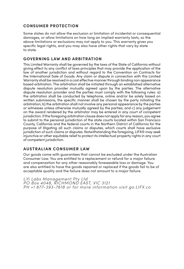#### **CONSUMER PROTECTION**

Some states do not allow the exclusion or limitation of incidental or consequential damages, or allow limitations on how long an implied warranty lasts, so the above limitations or exclusions may not apply to you. This warranty gives you specific legal rights, and you may also have other rights that vary by state to state.

#### **GOVERNING LAW AND ARBITRATION**

This Limited Warranty shall be governed by the laws of the State of California without giving effect to any conflict of laws principles that may provide the application of the law of another jurisdiction and without regard to the Convention on Contracts for the International Sale of Goods. Any claim or dispute in connection with this Limited Warranty shall be resolved in a cost effective manner through binding non appearance based arbitration. The arbitration shall be initiated through an established alternative dispute resolution provider mutually agreed upon by the parties. The alternative dispute resolution provider and the parties must comply with the following rules: a) the arbitration shall be conducted by telephone, online and/or be solely based on written submissions, the specific manner shall be chosen by the party initiating the arbitration; b) the arbitration shall not involve any personal appearance by the parties or witnesses unless otherwise mutually agreed by the parties; and c) any judgement on the award rendered by the arbitrator may be entered in any court of competent jurisdiction. If the foregoing arbitration clause does not apply for any reason, you agree to submit to the personal jurisdiction of the state courts located within San Francisco County, California and the federal courts in the Northern District of California for the purpose of litigating all such claims or disputes, which courts shall have exclusive jurisdiction of such claims or disputes. Notwithstanding the foregoing, LIFX® may seek injunctive or other equitable relief to protect its intellectual property rights in any court of competent jurisdiction.

#### **AUSTRALIAN CONSUMER LAW**

Our goods come with guarantees that cannot be excluded under the Australian Consumer Law. You are entitled to a replacement or refund for a major failure and compensation for any other reasonably foreseeable loss or damage. You are also entitled to have the goods repaired or replaced if the goods fail to be of acceptable quality and the failure does not amount to a major failure.

*Lifi Labs Management Pty Ltd PO Box 4048, RICHMOND EAST, VIC 3121 PH +1 877-393-7618 or for more information visit go.LIFX.co*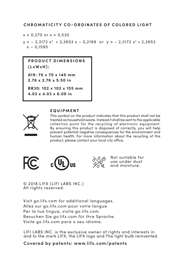#### **CHROMATICITY CO-ORDINATES OF COLORED LIGHT**

 $x < 0.270$  or  $x > 0.530$ 

 $y < -2$ , 3172  $x^2 + 2$ , 3653  $x = 0$ , 2199 or  $y > -2$ , 3172  $x^2 + 2$ , 3653  $x - 0.1595$ 

**P R O D I LCT D I M EN S LONS (LxWxH) :** 

**A19: 70 x 70 x 140 mm 2.76 x 2.76 x 5.50 in**

**BR30: 102 x 102 x 155 mm**

**4.03 x 4.03 x 6.09 in**



#### **E Q U I P M E N T**

This symbol on the product indicates that this product shall not be treated as household waste. Instead it shall be sent to the applicable collection point for the recycling of electronic equipment. By ensuring this product is disposed of correctly, you will help prevent potential negative consequences for the environment and human health. For more information about the recycling of this product, please contact your local city office.





Not suitable for use under dust and moisture.

© 2018 LIFX (LIFI LABS INC.) All rights reserved.

Visit go.lifx.com for additional languages. Allez sur go.lifx.com pour votre langue. Per la tua lingua, visita go.lifx.com. Besuchen Sie go.lifx.com für Ihre Sprache. Visite go.lifx.com para o seu idioma.

LIFI LABS INC. is the exclusive owner of rights and interests in and to the mark LIFX, the LIFX logo and The light bulb reinvented.

**Covered by patents: www.lifx.com/patents**